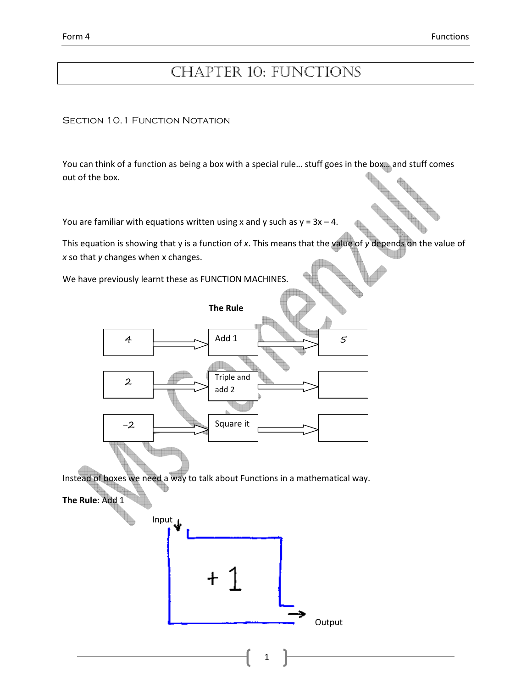# CHAPTER 10: FUNCTIONS

SECTION 10.1 FUNCTION NOTATION

You can think of a function as being a box with a special rule... stuff goes in the box... and stuff comes out of the box.

You are familiar with equations written using x and y such as  $y = 3x - 4$ .

This equation is showing that y is a function of  $x$ . This means that the value of  $y$  depends on the value of  $x$  so that  $y$  changes when  $x$  changes.

We have previously learnt these as FUNCTION MACHINES.

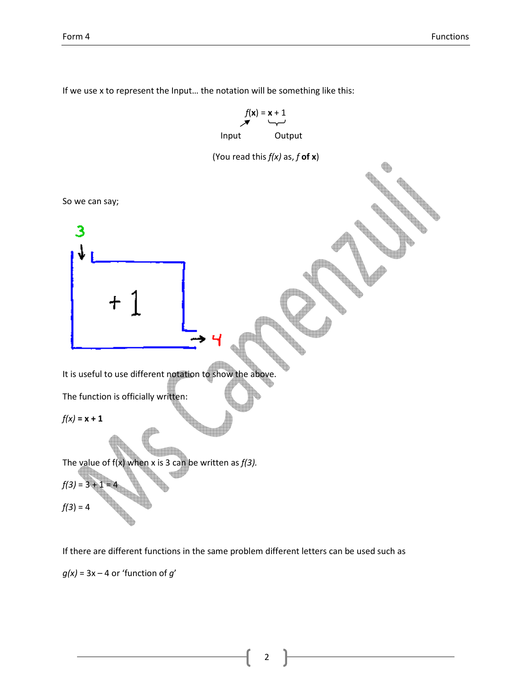



If we use x to represent the Input… the notation will be something like this:

If there are different functions in the same problem different letters can be used such as  $g(x) = 3x - 4$  or 'function of  $g'$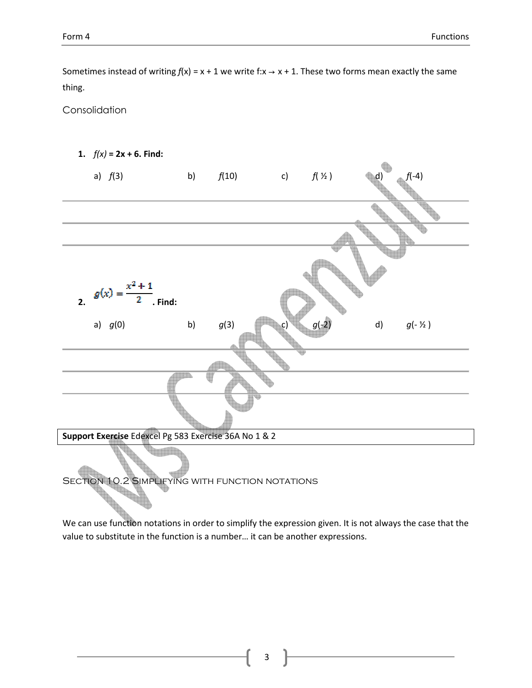Sometimes instead of writing  $f(x) = x + 1$  we write f: $x \rightarrow x + 1$ . These two forms mean exactly the same thing.

Consolidation



We can use function notations in order to simplify the expression given. It is not always the case that the value to substitute in the function is a number… it can be another expressions.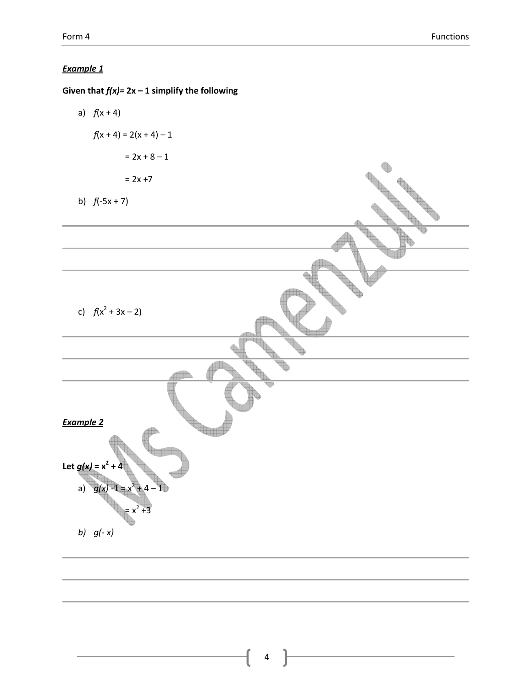Given that  $f(x)= 2x - 1$  simplify the following a)  $f(x + 4)$  $f(x + 4) = 2(x + 4) - 1$  $= 2x + 8 - 1$  $= 2x + 7$ b)  $f(-5x + 7)$ ♦ c)  $f(x^2 + 3x - 2)$ Example 2 Let  $g(x) = x^2$  $+4$ a)  $g(x)$  $+4-1$  $= x^2$  +3 b)  $g(-x)$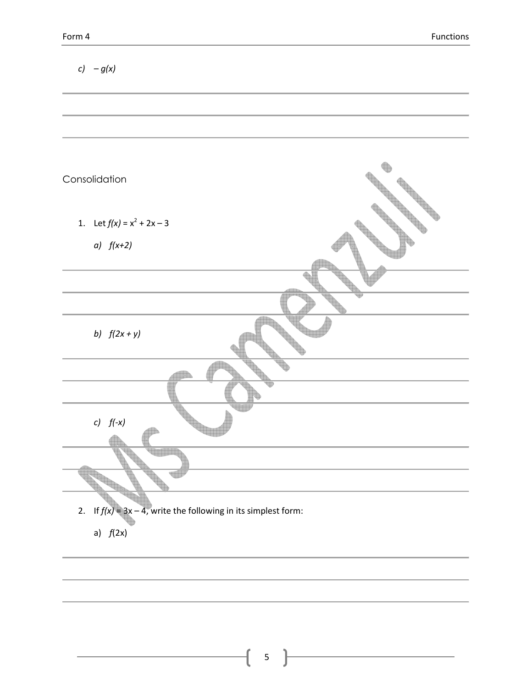| $c) - g(x)$                                                                     |
|---------------------------------------------------------------------------------|
|                                                                                 |
| Consolidation                                                                   |
| 1. Let $f(x) = x^2 + 2x - 3$<br>$a)$ $f(x+2)$                                   |
|                                                                                 |
| b) $f(2x + y)$                                                                  |
|                                                                                 |
| c) $f(-x)$                                                                      |
|                                                                                 |
| 2. If $f(x) = 3x - 4$ , write the following in its simplest form:<br>a) $f(2x)$ |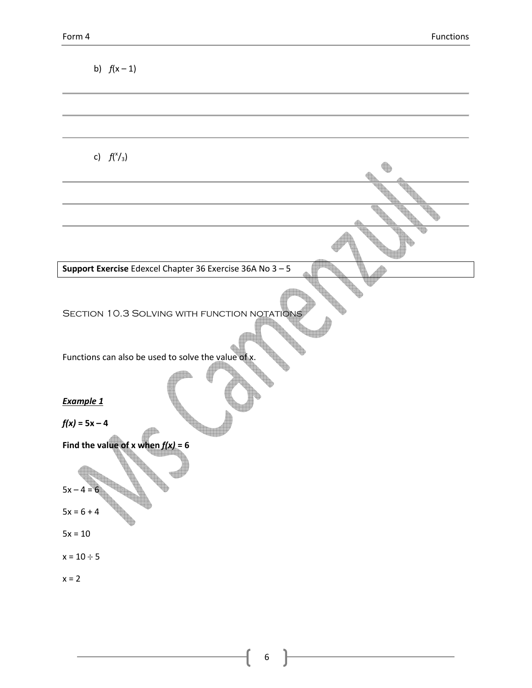| b) $f(x-1)$                                                                                         |
|-----------------------------------------------------------------------------------------------------|
|                                                                                                     |
| c) $f({\binom{x}{3}})$                                                                              |
|                                                                                                     |
|                                                                                                     |
| Support Exercise Edexcel Chapter 36 Exercise 36A No $3-5$                                           |
|                                                                                                     |
| SECTION 10.3 SOLVING WITH FUNCTION NOTATIONS<br>Functions can also be used to solve the value of x. |
| Example 1<br>$f(x) = 5x - 4$                                                                        |
| Find the value of x when $f(x) = 6$<br>$5x - 4 = 6$                                                 |
| $5x = 6 + 4$                                                                                        |
| $5x = 10$<br>$x = 10 \div 5$                                                                        |
| $x = 2$                                                                                             |

6

ſ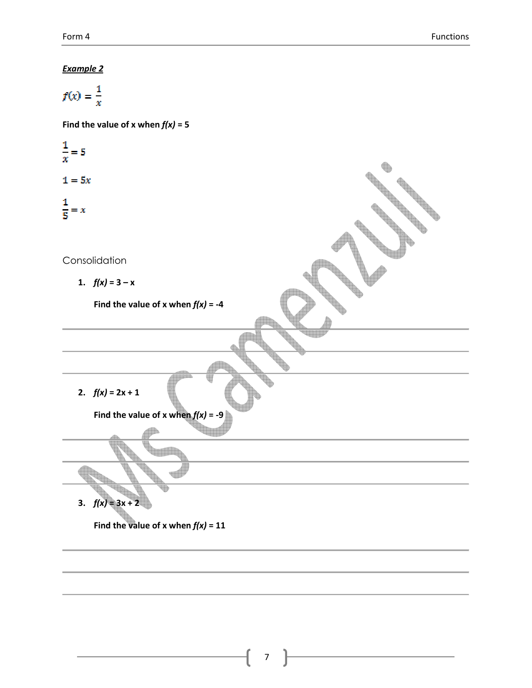$$
f(x) = \frac{1}{x}
$$

Find the value of x when  $f(x) = 5$ 

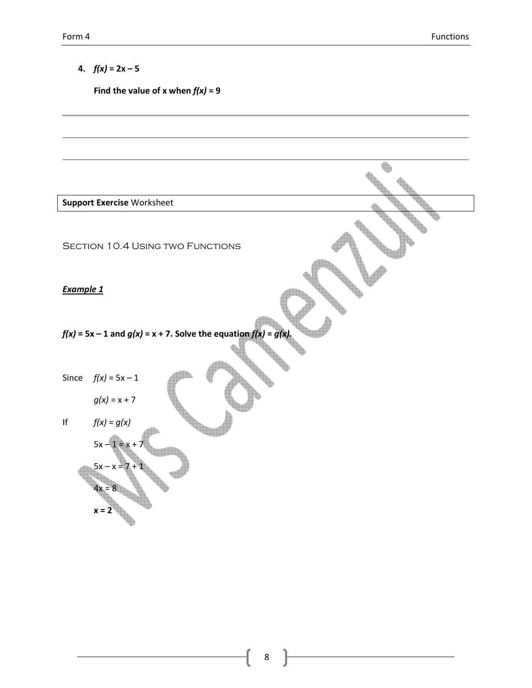# 4.  $f(x) = 2x - 5$

Find the value of x when  $f(x) = 9$ 

|                  | <b>Support Exercise Worksheet</b>                                       |  |
|------------------|-------------------------------------------------------------------------|--|
|                  | <b>SECTION 10.4 USING TWO FUNCTIONS</b>                                 |  |
| <b>Example 1</b> |                                                                         |  |
|                  | $f(x) = 5x - 1$ and $g(x) = x + 7$ . Solve the equation $f(x) = g(x)$ . |  |
| Since            | $f(x) = 5x - 1$<br>$g(x) = x + 7$                                       |  |
| $\sf l\sf f$     | $f(x)=g(x)$<br>$5x - 1 = x + 7$                                         |  |
| $x = 2$          | $5x - x = 7$<br>$4x = 8$                                                |  |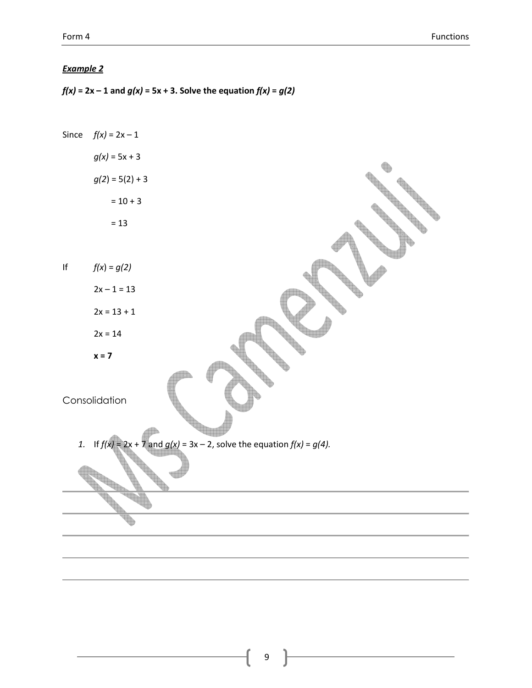$f(x) = 2x - 1$  and  $g(x) = 5x + 3$ . Solve the equation  $f(x) = g(2)$ 

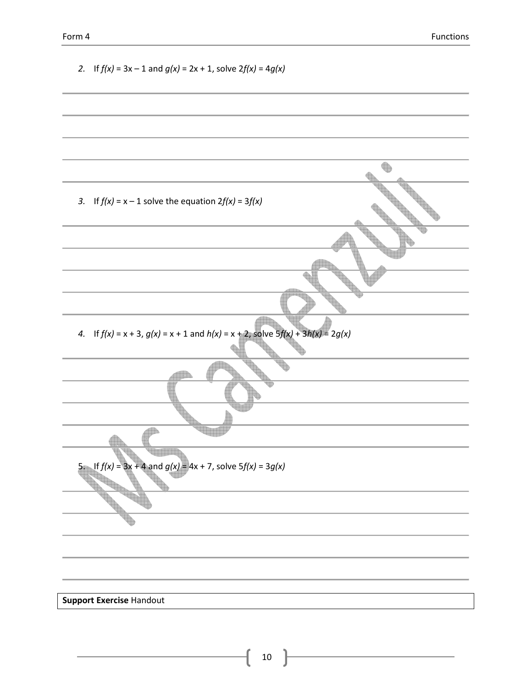2. If 
$$
f(x) = 3x - 1
$$
 and  $g(x) = 2x + 1$ , solve  $2f(x) = 4g(x)$   
\n3. If  $f(x) = x - 1$  solve the equation  $2f(x) = 3f(x)$   
\n4. If  $f(x) = x + 3$ ,  $g(x) = x + 1$  and  $h(x) = x + 2$ , solve  $5f(x) + 3h(x) = 2g(x)$   
\n5. If  $f(x) = 3x + 2$  and  $g(x) = 4x + 7$ , solve  $5f(x) = 3g(x)$   
\n5. Suppose Exercise 4 and solve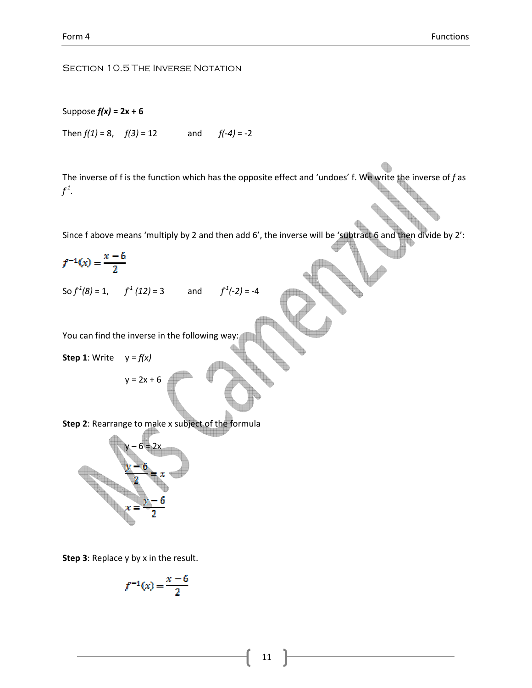#### SECTION 10.5 THE INVERSE NOTATION

#### Suppose  $f(x) = 2x + 6$

Then  $f(1) = 8$ ,  $f(3) = 12$  and  $f(-4) = -2$ 

The inverse of f is the function which has the opposite effect and 'undoes' f. We write the inverse of f as  $f^1$ .

Since f above means 'multiply by 2 and then add 6', the inverse will be 'subtract 6 and then divide by 2':

$$
f^{-1}(x) = \frac{x-6}{2}
$$

So  $f^1(8) = 1$ ,  $f^1(12) = 3$  and  $f^1(-2) = -4$ 

You can find the inverse in the following way:

 $y = 2x + 6$ 

**Step 1:** Write  $y = f(x)$ 

Step 2: Rearrange to make x subject of the formula



Step 3: Replace y by x in the result.

$$
f^{-1}(x) = \frac{x-\theta}{2}
$$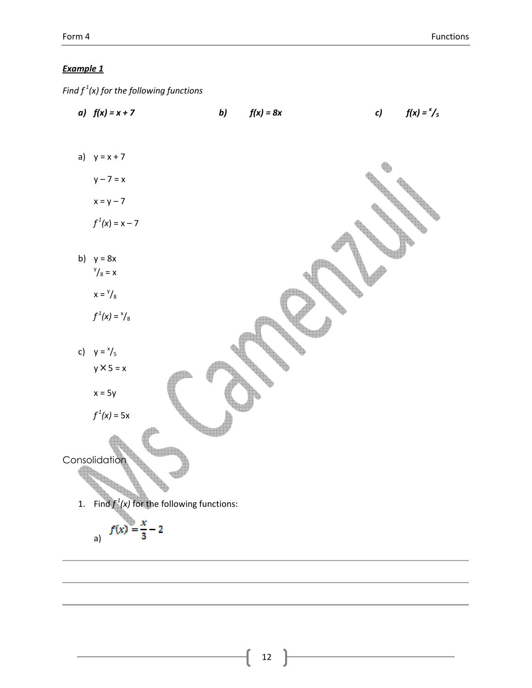Find  $f^1(x)$  for the following functions